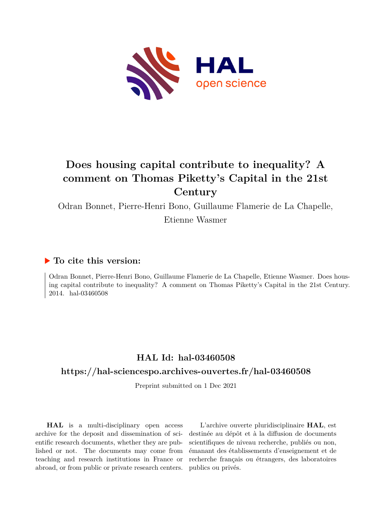

# **Does housing capital contribute to inequality? A comment on Thomas Piketty's Capital in the 21st Century**

Odran Bonnet, Pierre-Henri Bono, Guillaume Flamerie de La Chapelle, Etienne Wasmer

#### **To cite this version:**

Odran Bonnet, Pierre-Henri Bono, Guillaume Flamerie de La Chapelle, Etienne Wasmer. Does housing capital contribute to inequality? A comment on Thomas Piketty's Capital in the 21st Century. 2014. hal-03460508

### **HAL Id: hal-03460508**

#### **<https://hal-sciencespo.archives-ouvertes.fr/hal-03460508>**

Preprint submitted on 1 Dec 2021

**HAL** is a multi-disciplinary open access archive for the deposit and dissemination of scientific research documents, whether they are published or not. The documents may come from teaching and research institutions in France or abroad, or from public or private research centers.

L'archive ouverte pluridisciplinaire **HAL**, est destinée au dépôt et à la diffusion de documents scientifiques de niveau recherche, publiés ou non, émanant des établissements d'enseignement et de recherche français ou étrangers, des laboratoires publics ou privés.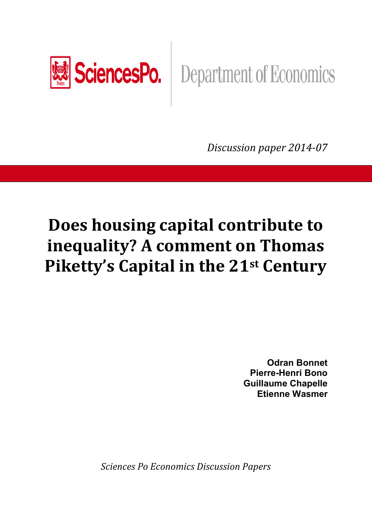

# **SciencesPo.** Department of Economics

*Discussion paper 2014-07* 

# **Does housing capital contribute to inequality? A comment on Thomas Piketty's Capital in the 21st Century**

**Odran Bonnet Pierre-Henri Bono Guillaume Chapelle Etienne Wasmer** 

*Sciences Po Economics Discussion Papers*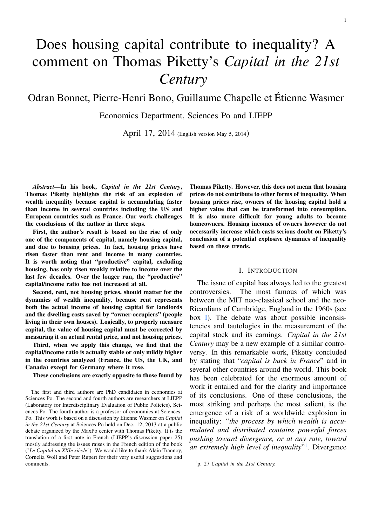# Does housing capital contribute to inequality? A comment on Thomas Piketty's *Capital in the 21st Century*

## Odran Bonnet, Pierre-Henri Bono, Guillaume Chapelle et Étienne Wasmer

Economics Department, Sciences Po and LIEPP

April 17, 2014 (English version May 5, 2014)

*Abstract*—In his book, *Capital in the 21st Century*, Thomas Piketty highlights the risk of an explosion of wealth inequality because capital is accumulating faster than income in several countries including the US and European countries such as France. Our work challenges the conclusions of the author in three steps.

First, the author's result is based on the rise of only one of the components of capital, namely housing capital, and due to housing prices. In fact, housing prices have risen faster than rent and income in many countries. It is worth noting that "productive" capital, excluding housing, has only risen weakly relative to income over the last few decades. Over the longer run, the "productive" capital/income ratio has not increased at all.

Second, rent, not housing prices, should matter for the dynamics of wealth inequality, because rent represents both the actual income of housing capital for landlords and the dwelling costs saved by "owner-occupiers" (people living in their own houses). Logically, to properly measure capital, the value of housing capital must be corrected by measuring it on actual rental price, and not housing prices.

Third, when we apply this change, we find that the capital/income ratio is actually stable or only mildly higher in the countries analyzed (France, the US, the UK, and Canada) except for Germany where it rose.

These conclusions are exactly opposite to those found by

Thomas Piketty. However, this does not mean that housing prices do not contribute to other forms of inequality. When housing prices rise, owners of the housing capital hold a higher value that can be transformed into consumption. It is also more difficult for young adults to become homeowners. Housing incomes of owners however do not necessarily increase which casts serious doubt on Piketty's conclusion of a potential explosive dynamics of inequality based on these trends.

#### I. INTRODUCTION

The issue of capital has always led to the greatest controversies. The most famous of which was between the MIT neo-classical school and the neo-Ricardians of Cambridge, England in the 1960s (see box I). The debate was about possible inconsistencies and tautologies in the measurement of the capital stock and its earnings. *Capital in the 21st Century* may be a new example of a similar controversy. In this remarkable work, Piketty concluded by stating that "*capital is back in France*" and in several other countries around the world. This book has been celebrated for the enormous amount of work it entailed and for the clarity and importance of its conclusions. One of these conclusions, the most striking and perhaps the most salient, is the emergence of a risk of a worldwide explosion in inequality: "*the process by which wealth is accumulated and distributed contains powerful forces pushing toward divergence, or at any rate, toward an extremely high level of inequality*" 1 . Divergence

The first and third authors are PhD candidates in economics at Sciences Po. The second and fourth authors are researchers at LIEPP (Laboratory for Interdisciplinary Evaluation of Public Policies), Sciences Po. The fourth author is a professor of economics at Sciences-Po. This work is based on a discussion by Etienne Wasmer on *Capital in the 21st Century* at Sciences Po held on Dec. 12, 2013 at a public debate organized by the MaxPo center with Thomas Piketty. It is the translation of a first note in French (LIEPP's discussion paper 25) mostly addressing the issues raises in the French edition of the book ("*Le Capital au XXIe siècle*"). We would like to thank Alain Trannoy, Cornelia Woll and Peter Rupert for their very useful suggestions and comments.

<sup>1</sup> p. 27 *Capital in the 21st Century.*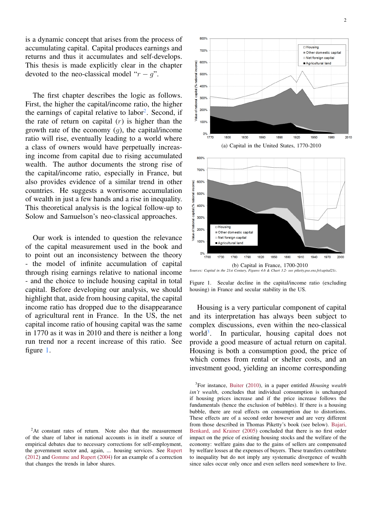is a dynamic concept that arises from the process of accumulating capital. Capital produces earnings and returns and thus it accumulates and self-develops. This thesis is made explicitly clear in the chapter devoted to the neo-classical model " $r - q$ ".

The first chapter describes the logic as follows. First, the higher the capital/income ratio, the higher the earnings of capital relative to labor<sup>2</sup>. Second, if the rate of return on capital  $(r)$  is higher than the growth rate of the economy  $(q)$ , the capital/income ratio will rise, eventually leading to a world where a class of owners would have perpetually increasing income from capital due to rising accumulated wealth. The author documents the strong rise of the capital/income ratio, especially in France, but also provides evidence of a similar trend in other countries. He suggests a worrisome accumulation of wealth in just a few hands and a rise in inequality. This theoretical analysis is the logical follow-up to Solow and Samuelson's neo-classical approaches.

Our work is intended to question the relevance of the capital measurement used in the book and to point out an inconsistency between the theory - the model of infinite accumulation of capital through rising earnings relative to national income - and the choice to include housing capital in total capital. Before developing our analysis, we should highlight that, aside from housing capital, the capital income ratio has dropped due to the disappearance of agricultural rent in France. In the US, the net capital income ratio of housing capital was the same in 1770 as it was in 2010 and there is neither a long run trend nor a recent increase of this ratio. See figure 1.



Figure 1. Secular decline in the capital/income ratio (excluding housing) in France and secular stability in the US.

Housing is a very particular component of capital and its interpretation has always been subject to complex discussions, even within the neo-classical world $3$ . . In particular, housing capital does not provide a good measure of actual return on capital. Housing is both a consumption good, the price of which comes from rental or shelter costs, and an investment good, yielding an income corresponding

 ${}^{2}$ At constant rates of return. Note also that the measurement of the share of labor in national accounts is in itself a source of empirical debates due to necessary corrections for self-employment, the government sector and, again, ... housing services. See Rupert (2012) and Gomme and Rupert (2004) for an example of a correction that changes the trends in labor shares.

<sup>3</sup> For instance, Buiter (2010), in a paper entitled *Housing wealth isn't wealth*, concludes that individual consumption is unchanged if housing prices increase and if the price increase follows the fundamentals (hence the exclusion of bubbles). If there is a housing bubble, there are real effects on consumption due to distortions. These effects are of a second order however and are very different from those described in Thomas Piketty's book (see below). Bajari, Benkard, and Krainer (2005) concluded that there is no first order impact on the price of existing housing stocks and the welfare of the economy: welfare gains due to the gains of sellers are compensated by welfare losses at the expenses of buyers. These transfers contribute to inequality but do not imply any systematic divergence of wealth since sales occur only once and even sellers need somewhere to live.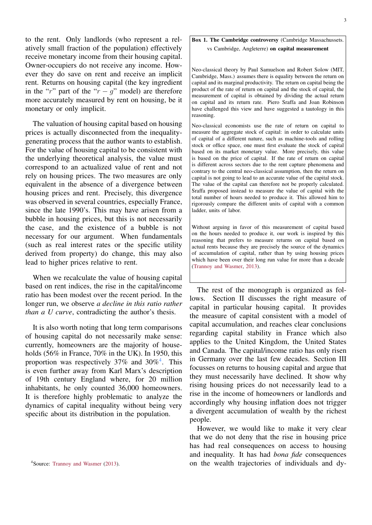to the rent. Only landlords (who represent a relatively small fraction of the population) effectively receive monetary income from their housing capital. Owner-occupiers do not receive any income. However they do save on rent and receive an implicit rent. Returns on housing capital (the key ingredient in the "r" part of the " $r - g$ " model) are therefore more accurately measured by rent on housing, be it monetary or only implicit.

The valuation of housing capital based on housing prices is actually disconnected from the inequalitygenerating process that the author wants to establish. For the value of housing capital to be consistent with the underlying theoretical analysis, the value must correspond to an actualized value of rent and not rely on housing prices. The two measures are only equivalent in the absence of a divergence between housing prices and rent. Precisely, this divergence was observed in several countries, especially France, since the late 1990's. This may have arisen from a bubble in housing prices, but this is not necessarily the case, and the existence of a bubble is not necessary for our argument. When fundamentals (such as real interest rates or the specific utility derived from property) do change, this may also lead to higher prices relative to rent.

When we recalculate the value of housing capital based on rent indices, the rise in the capital/income ratio has been modest over the recent period. In the longer run, we observe *a decline in this ratio rather than a U curve*, contradicting the author's thesis.

It is also worth noting that long term comparisons of housing capital do not necessarily make sense: currently, homeowners are the majority of households (56% in France, 70% in the UK). In 1950, this proportion was respectively 37% and 30%<sup>4</sup>. This is even further away from Karl Marx's description of 19th century England where, for 20 million inhabitants, he only counted 36,000 homeowners. It is therefore highly problematic to analyze the dynamics of capital inequality without being very specific about its distribution in the population.

<sup>4</sup> Source: Trannoy and Wasmer (2013).

#### Box 1. The Cambridge controversy (Cambridge Massachussets. vs Cambridge, Angleterre) on capital measurement

Neo-classical theory by Paul Samuelson and Robert Solow (MIT, Cambridge, Mass.) assumes there is equality between the return on capital and its marginal productivity. The return on capital being the product of the rate of return on capital and the stock of capital, the measurement of capital is obtained by dividing the actual return on capital and its return rate. Piero Sraffa and Joan Robinson have challenged this view and have suggested a tautology in this reasoning.

Neo-classical economists use the rate of return on capital to measure the aggregate stock of capital: in order to calculate units of capital of a different nature, such as machine-tools and rolling stock or office space, one must first evaluate the stock of capital based on its market monetary value. More precisely, this value is based on the price of capital. If the rate of return on capital is different across sectors due to the rent capture phenomena and contrary to the central neo-classical assumption, then the return on capital is not going to lead to an accurate value of the capital stock. The value of the capital can therefore not be properly calculated. Sraffa proposed instead to measure the value of capital with the total number of hours needed to produce it. This allowed him to rigorously compare the different units of capital with a common ladder, units of labor.

Without arguing in favor of this measurement of capital based on the hours needed to produce it, our work is inspired by this reasoning that prefers to measure returns on capital based on actual rents because they are precisely the source of the dynamics of accumulation of capital, rather than by using housing prices which have been over their long run value for more than a decade (Trannoy and Wasmer, 2013).

The rest of the monograph is organized as follows. Section II discusses the right measure of capital in particular housing capital. It provides the measure of capital consistent with a model of capital accumulation, and reaches clear conclusions regarding capital stability in France which also applies to the United Kingdom, the United States and Canada. The capital/income ratio has only risen in Germany over the last few decades. Section III focusses on returns to housing capital and argue that they must necessarily have declined. It show why rising housing prices do not necessarily lead to a rise in the income of homeowners or landlords and accordingly why housing inflation does not trigger a divergent accumulation of wealth by the richest people.

However, we would like to make it very clear that we do not deny that the rise in housing price has had real consequences on access to housing and inequality. It has had *bona fide* consequences on the wealth trajectories of individuals and dy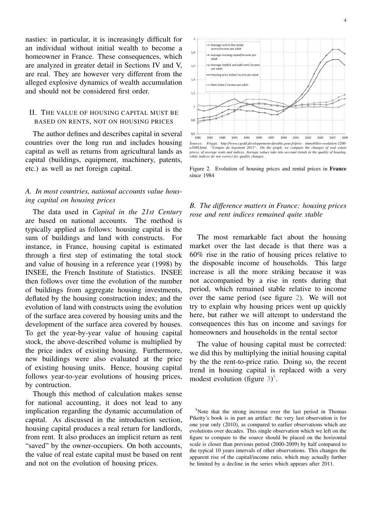nasties: in particular, it is increasingly difficult for an individual without initial wealth to become a homeowner in France. These consequences, which are analyzed in greater detail in Sections IV and V, are real. They are however very different from the alleged explosive dynamics of wealth accumulation and should not be considered first order.

#### II. THE VALUE OF HOUSING CAPITAL MUST BE BASED ON RENTS, NOT ON HOUSING PRICES

The author defines and describes capital in several countries over the long run and includes housing capital as well as returns from agricultural lands as capital (buildings, equipment, machinery, patents, etc.) as well as net foreign capital.

#### *A. In most countries, national accounts value housing capital on housing prices*

The data used in *Capital in the 21st Century* are based on national accounts. The method is typically applied as follows: housing capital is the sum of buildings and land with constructs. For instance, in France, housing capital is estimated through a first step of estimating the total stock and value of housing in a reference year (1998) by INSEE, the French Institute of Statistics. INSEE then follows over time the evolution of the number of buildings from aggregate housing investments, deflated by the housing construction index; and the evolution of land with constructs using the evolution of the surface area covered by housing units and the development of the surface area covered by houses. To get the year-by-year value of housing capital stock, the above-described volume is multiplied by the price index of existing housing. Furthermore, new buildings were also evaluated at the price of existing housing units. Hence, housing capital follows year-to-year evolutions of housing prices, by contruction.

Though this method of calculation makes sense for national accounting, it does not lead to any implication regarding the dynamic accumulation of capital. As discussed in the introduction section, housing capital produces a real return for landlords, from rent. It also produces an implicit return as rent "saved" by the owner-occupiers. On both accounts, the value of real estate capital must be based on rent and not on the evolution of housing prices.



*a1048.html. "Compte du logement 2013". On the graph, we compare the changes of real estate prices, of average rents and indices. Average values take into account trends in the quality of housing, while indices do not correct for quality changes.*

Figure 2. Evolution of housing prices and rental prices in France since 1984

#### *B. The difference matters in France: housing prices rose and rent indices remained quite stable*

The most remarkable fact about the housing market over the last decade is that there was a 60% rise in the ratio of housing prices relative to the disposable income of households. This large increase is all the more striking because it was not accompanied by a rise in rents during that period, which remained stable relative to income over the same period (see figure 2). We will not try to explain why housing prices went up quickly here, but rather we will attempt to understand the consequences this has on income and savings for homeowners and households in the rental sector

The value of housing capital must be corrected: we did this by multiplying the initial housing capital by the the rent-to-price ratio. Doing so, the recent trend in housing capital is replaced with a very modest evolution (figure  $3)^5$ .

<sup>&</sup>lt;sup>5</sup>Note that the strong increase over the last period in Thomas Piketty's book is in part an artifact: the very last observation is for one year only (2010), as compared to earlier observations which are evolutions over decades. This single observation which we left on the figure to compare to the source should be placed on the horizontal scale is closer than previous period (2000-2009) by half compared to the typical 10 years intervals of other observations. This changes the apparent rise of the capital/income ratio, which may actually further be limited by a decline in the series which appears after 2011.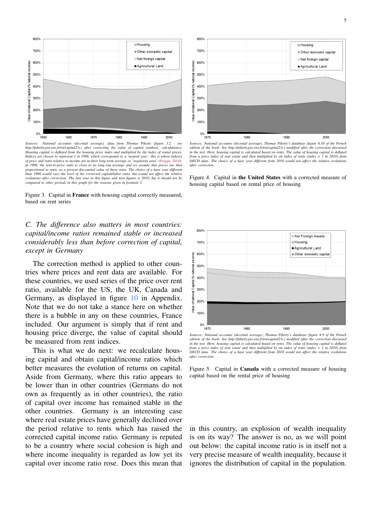



*Sources: National accounts (decenial average), data from Thomas Piketty (figure 3.2 - see http://piketty.pse.ens.fr/en/capital21c) after correcting the value of capital (authors' calculations). Housing capital is deflated from the housing price index and multiplied by the index of rental prices. Indices are chosen to represent 1 in 1998, which corresponds to a 'neutral year', this is where indexes* of price and rents relative to income are in their long term average or "regularity area" (Friggit, 2014):<br>in 1998, the rent-to-price ratio is close to its long-run average and we assume that prices are then *proportional to rents, as a present discounted value of these rents. The choice of a base year different than 1998 would vary the level of the corrected capital/labor ratio, but would not affect the relative evolutions after correction. The last year in this figure and next figures is 2010, but it should not be compared to other periods in this graph for the reasons given in footnote 5.*

Figure 3. Capital in France with housing capital correctly measured, based on rent series

#### *C. The difference also matters in most countries: capital/income ratios remained stable or increased considerably less than before correction of capital, except in Germany*

The correction method is applied to other countries where prices and rent data are available. For these countries, we used series of the price over rent ratio, available for the US, the UK, Canada and Germany, as displayed in figure 10 in Appendix. Note that we do not take a stance here on whether there is a bubble in any on these countries, France included. Our argument is simply that if rent and housing price diverge, the value of capital should be measured from rent indices.

This is what we do next: we recalculate housing capital and obtain capital/income ratios which better measures the evolution of returns on capital. Aside from Germany, where this ratio appears to be lower than in other countries (Germans do not own as frequently as in other countries), the ratio of capital over income has remained stable in the other countries. Germany is an interesting case where real estate prices have generally declined over the period relative to rents which has raised the corrected capital income ratio. Germany is reputed to be a country where social cohesion is high and where income inequality is regarded as low yet its capital over income ratio rose. Does this mean that



edition of the book- See http://piketty.pse.ens.fr/en/capital21c) modified after the correction discussea<br>in the text. Here, housing capital is calculated based on rents. The value of housing capital is deflatea *from a price index of real estate and then multiplied by an index of rents (index = 1 in 2010) from OECD data. The choice of a base year different from 2010 would not affect the relative evolutions after correction.*

Figure 4. Capital in the United States with a corrected measure of housing capital based on rental price of housing



*Sources: National accounts (decenial average), Thomas Piketty's database (figure 4.9 of the French* edition of the book- See http://piketty.pse.ens.fr/en/capital21c) modified after the correction discussea<br>in the text. Here, housing capital is calculated based on rents. The value of housing capital is deflatea *from a price index of real estate and then multiplied by an index of rents (index = 1 in 2010) from OECD data. The choice of a base year different from 2010 would not affect the relative evolutions after correction.*

Figure 5. Capital in Canada with a corrected measure of housing capital based on the rental price of housing

in this country, an explosion of wealth inequality is on its way? The answer is no, as we will point out below: the capital income ratio is in itself not a very precise measure of wealth inequality, because it ignores the distribution of capital in the population.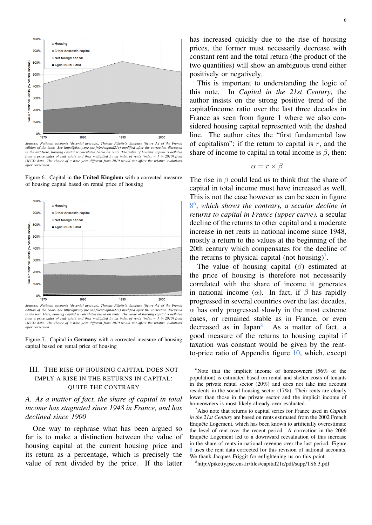

*edition of the book- See http://piketty.pse.ens.fr/en/capital21c) modified after the correction discussed in the text.Here, housing capital is calculated based on rents. The value of housing capital is deflated from a price index of real estate and then multiplied by an index of rents (index = 1 in 2010) from OECD data. The choice of a base year different from 2010 would not affect the relative evolutions after correction.*

Figure 6. Capital in the United Kingdom with a corrected measure of housing capital based on rental price of housing



*Sources: National accounts (decenial average), Thomas Piketty's database (figure 4.1 of the French edition of the book- See http://piketty.pse.ens.fr/en/capital21c) modified after the correction discussed in the text. Here, housing capital is calculated based on rents. The value of housing capital is deflated from a price index of real estate and then multiplied by an index of rents (index = 1 in 2010) from OECD data. The choice of a base year different from 2010 would not affect the relative evolutions after correction.*

Figure 7. Capital in Germany with a corrected measure of housing capital based on rental price of housing

#### III. THE RISE OF HOUSING CAPITAL DOES NOT IMPLY A RISE IN THE RETURNS IN CAPITAL: QUITE THE CONTRARY

*A. As a matter of fact, the share of capital in total income has stagnated since 1948 in France, and has declined since 1900*

One way to rephrase what has been argued so far is to make a distinction between the value of housing capital at the current housing price and its return as a percentage, which is precisely the value of rent divided by the price. If the latter has increased quickly due to the rise of housing prices, the former must necessarily decrease with constant rent and the total return (the product of the two quantities) will show an ambiguous trend either positively or negatively.

This is important to understanding the logic of this note. In *Capital in the 21st Century*, the author insists on the strong positive trend of the capital/income ratio over the last three decades in France as seen from figure 1 where we also considered housing capital represented with the dashed line. The author cites the "first fundamental law of capitalism": if the return to capital is  $r$ , and the share of income to capital in total income is  $\beta$ , then:

$$
\alpha = r \times \beta.
$$

The rise in  $\beta$  could lead us to think that the share of capital in total income must have increased as well. This is not the case however as can be seen in figure 8 6 , *which shows the contrary, a secular decline in returns to capital in France (upper curve),* a secular decline of the returns to other capital and a moderate increase in net rents in national income since 1948, mostly a return to the values at the beginning of the 20th century which compensates for the decline of the returns to physical capital (not housing)<sup>7</sup>.

The value of housing capital  $(\beta)$  estimated at the price of housing is therefore not necessarily correlated with the share of income it generates in national income ( $\alpha$ ). In fact, if  $\beta$  has rapidly progressed in several countries over the last decades,  $\alpha$  has only progressed slowly in the most extreme cases, or remained stable as in France, or even decreased as in Japan<sup>8</sup>. As a matter of fact, a good measure of the returns to housing capital if taxation was constant would be given by the rentto-price ratio of Appendix figure 10, which, except

 $6$ Note that the implicit income of homeowners (56% of the population) is estimated based on rental and shelter costs of tenants in the private rental sector (20%) and does not take into account residents in the social housing sector (17%). Their rents are clearly lower than those in the private sector and the implicit income of homeowners is most likely already over evaluated.

<sup>7</sup>Also note that returns to capital series for France used in *Capital in the 21st Century* are based on rents estimated from the 2002 French Enquête Logement, which has been known to artificially overestimate the level of rent over the recent period. A correction in the 2006 Enquête Logement led to a downward reevaluation of this increase in the share of rents in national revenue over the last period. Figure 8 uses the rent data corrected for this revision of national accounts. We thank Jacques Friggit for enlightening us on this point.

8 http://piketty.pse.ens.fr/files/capital21c/pdf/supp/TS6.3.pdf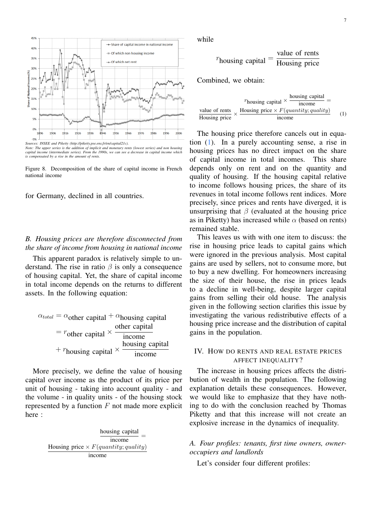

*Note: The upper series is the addition of implicit and monetary rents (lowest series) and non housing capital income (intermediate series). From the 1990s, we can see a decrease in capital income which is compensated by a rise in the amount of rents.*

Figure 8. Decomposition of the share of capital income in French national income

for Germany, declined in all countries.

#### *B. Housing prices are therefore disconnected from the share of income from housing in national income*

This apparent paradox is relatively simple to understand. The rise in ratio  $\beta$  is only a consequence of housing capital. Yet, the share of capital income in total income depends on the returns to different assets. In the following equation:

| $\alpha_{total} = \alpha_{other}$ capital + $\alpha_{housing}$ capital |                 |
|------------------------------------------------------------------------|-----------------|
|                                                                        | other capital   |
| $r = r_{other}$ capital $\times$ -                                     | income          |
|                                                                        | housing capital |
| + $r_{\text{housing capital}} \times$                                  | income          |

More precisely, we define the value of housing capital over income as the product of its price per unit of housing - taking into account quality - and the volume - in quality units - of the housing stock represented by a function  $F$  not made more explicit here :

> housing capital income = Housing price  $\times$  F(quantity; quality) income

while

$$
r_{\text{housing capital}} = \frac{\text{value of rents}}{\text{Housing price}}
$$

Combined, we obtain:

|               | housing capital                                            |     |
|---------------|------------------------------------------------------------|-----|
|               | $r_{\text{housing capital}} \times$<br>income              |     |
|               | value of rents Housing price $\times F(quantity; quality)$ |     |
| Housing price | <i>n</i> come                                              | (1) |

The housing price therefore cancels out in equation (1). In a purely accounting sense, a rise in housing prices has no direct impact on the share of capital income in total incomes. This share depends only on rent and on the quantity and quality of housing. If the housing capital relative to income follows housing prices, the share of its revenues in total income follows rent indices. More precisely, since prices and rents have diverged, it is unsurprising that  $\beta$  (evaluated at the housing price as in Piketty) has increased while  $\alpha$  (based on rents) remained stable.

This leaves us with with one item to discuss: the rise in housing price leads to capital gains which were ignored in the previous analysis. Most capital gains are used by sellers, not to consume more, but to buy a new dwelling. For homeowners increasing the size of their house, the rise in prices leads to a decline in well-being, despite larger capital gains from selling their old house. The analysis given in the following section clarifies this issue by investigating the various redistributive effects of a housing price increase and the distribution of capital gains in the population.

#### IV. HOW DO RENTS AND REAL ESTATE PRICES AFFECT INEQUALITY?

The increase in housing prices affects the distribution of wealth in the population. The following explanation details these consequences. However, we would like to emphasize that they have nothing to do with the conclusion reached by Thomas Piketty and that this increase will not create an explosive increase in the dynamics of inequality.

#### *A. Four profiles: tenants, first time owners, owneroccupiers and landlords*

Let's consider four different profiles: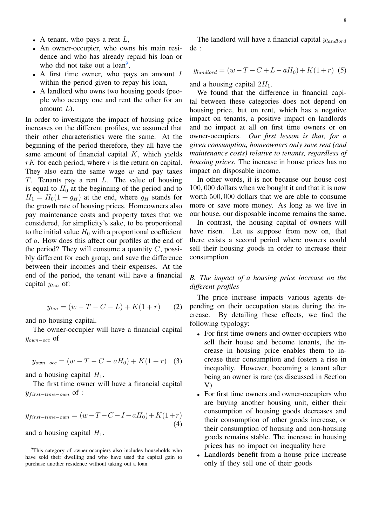- A tenant, who pays a rent  $L$ ,
- An owner-occupier, who owns his main residence and who has already repaid his loan or who did not take out a  $\text{loan}^9$ ,
- A first time owner, who pays an amount  $I$ within the period given to repay his loan,
- A landlord who owns two housing goods (people who occupy one and rent the other for an amount  $L$ ).

In order to investigate the impact of housing price increases on the different profiles, we assumed that their other characteristics were the same. At the beginning of the period therefore, they all have the same amount of financial capital  $K$ , which yields  $rK$  for each period, where r is the return on capital. They also earn the same wage  $w$  and pay taxes T. Tenants pay a rent L. The value of housing is equal to  $H_0$  at the beginning of the period and to  $H_1 = H_0(1 + g_H)$  at the end, where  $g_H$  stands for the growth rate of housing prices. Homeowners also pay maintenance costs and property taxes that we considered, for simplicity's sake, to be proportional to the initial value  $H_0$  with a proportional coefficient of a. How does this affect our profiles at the end of the period? They will consume a quantity  $C$ , possibly different for each group, and save the difference between their incomes and their expenses. At the end of the period, the tenant will have a financial capital  $y_{ten}$  of:

$$
y_{ten} = (w - T - C - L) + K(1 + r)
$$
 (2)

and no housing capital.

The owner-occupier will have a financial capital yown−occ of

$$
y_{own-occ} = (w - T - C - aH_0) + K(1+r) \quad (3)
$$

and a housing capital  $H_1$ .

The first time owner will have a financial capital  $y_{first-time-own}$  of :

$$
y_{first-time-own} = (w - T - C - I - aH0) + K(1+r)
$$
  
(4)

and a housing capital  $H_1$ .

<sup>9</sup>This category of owner-occupiers also includes households who have sold their dwelling and who have used the capital gain to purchase another residence without taking out a loan.

The landlord will have a financial capital  $y_{landford}$ de :

$$
y_{landord} = (w - T - C + L - aH_0) + K(1+r) \tag{5}
$$

and a housing capital  $2H_1$ .

We found that the difference in financial capital between these categories does not depend on housing price, but on rent, which has a negative impact on tenants, a positive impact on landlords and no impact at all on first time owners or on owner-occupiers. *Our first lesson is that, for a given consumption, homeowners only save rent (and maintenance costs) relative to tenants, regardless of housing prices.* The increase in house prices has no impact on disposable income.

In other words, it is not because our house cost 100, 000 dollars when we bought it and that it is now worth 500, 000 dollars that we are able to consume more or save more money. As long as we live in our house, our disposable income remains the same.

In contrast, the housing capital of owners will have risen. Let us suppose from now on, that there exists a second period where owners could sell their housing goods in order to increase their consumption.

#### *B. The impact of a housing price increase on the different profiles*

The price increase impacts various agents depending on their occupation status during the increase. By detailing these effects, we find the following typology:

- For first time owners and owner-occupiers who sell their house and become tenants, the increase in housing price enables them to increase their consumption and fosters a rise in inequality. However, becoming a tenant after being an owner is rare (as discussed in Section V)
- For first time owners and owner-occupiers who are buying another housing unit, either their consumption of housing goods decreases and their consumption of other goods increase, or their consumption of housing and non-housing goods remains stable. The increase in housing prices has no impact on inequality here
- Landlords benefit from a house price increase only if they sell one of their goods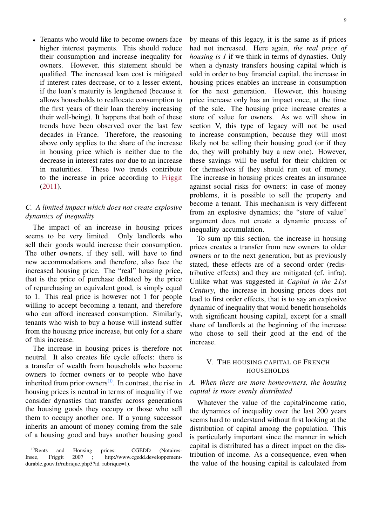• Tenants who would like to become owners face higher interest payments. This should reduce their consumption and increase inequality for owners. However, this statement should be qualified. The increased loan cost is mitigated if interest rates decrease, or to a lesser extent, if the loan's maturity is lengthened (because it allows households to reallocate consumption to the first years of their loan thereby increasing their well-being). It happens that both of these trends have been observed over the last few decades in France. Therefore, the reasoning above only applies to the share of the increase in housing price which is neither due to the decrease in interest rates nor due to an increase in maturities. These two trends contribute to the increase in price according to Friggit (2011).

#### *C. A limited impact which does not create explosive dynamics of inequality*

The impact of an increase in housing prices seems to be very limited. Only landlords who sell their goods would increase their consumption. The other owners, if they sell, will have to find new accommodations and therefore, also face the increased housing price. The "real" housing price, that is the price of purchase deflated by the price of repurchasing an equivalent good, is simply equal to 1. This real price is however not 1 for people willing to accept becoming a tenant, and therefore who can afford increased consumption. Similarly, tenants who wish to buy a house will instead suffer from the housing price increase, but only for a share of this increase.

The increase in housing prices is therefore not neutral. It also creates life cycle effects: there is a transfer of wealth from households who become owners to former owners or to people who have inherited from prior owners<sup>10</sup>. In contrast, the rise in housing prices is neutral in terms of inequality if we consider dynasties that transfer across generations the housing goods they occupy or those who sell them to occupy another one. If a young successor inherits an amount of money coming from the sale of a housing good and buys another housing good

by means of this legacy, it is the same as if prices had not increased. Here again, *the real price of housing is 1* if we think in terms of dynasties. Only when a dynasty transfers housing capital which is sold in order to buy financial capital, the increase in housing prices enables an increase in consumption for the next generation. However, this housing price increase only has an impact once, at the time of the sale. The housing price increase creates a store of value for owners. As we will show in section V, this type of legacy will not be used to increase consumption, because they will most likely not be selling their housing good (or if they do, they will probably buy a new one). However, these savings will be useful for their children or for themselves if they should run out of money. The increase in housing prices creates an insurance against social risks for owners: in case of money problems, it is possible to sell the property and become a tenant. This mechanism is very different from an explosive dynamics; the "store of value" argument does not create a dynamic process of inequality accumulation.

To sum up this section, the increase in housing prices creates a transfer from new owners to older owners or to the next generation, but as previously stated, these effects are of a second order (redistributive effects) and they are mitigated (cf. infra). Unlike what was suggested in *Capital in the 21st Century*, the increase in housing prices does not lead to first order effects, that is to say an explosive dynamic of inequality that would benefit households with significant housing capital, except for a small share of landlords at the beginning of the increase who chose to sell their good at the end of the increase.

#### V. THE HOUSING CAPITAL OF FRENCH HOUSEHOLDS

#### *A. When there are more homeowners, the housing capital is more evenly distributed*

Whatever the value of the capital/income ratio, the dynamics of inequality over the last 200 years seems hard to understand without first looking at the distribution of capital among the population. This is particularly important since the manner in which capital is distributed has a direct impact on the distribution of income. As a consequence, even when the value of the housing capital is calculated from

<sup>&</sup>lt;sup>10</sup>Rents and Housing prices: CGEDD (Notaires-Insee, Friggit 2007 ; http://www.cgedd.developpementdurable.gouv.fr/rubrique.php3?id\_rubrique=1).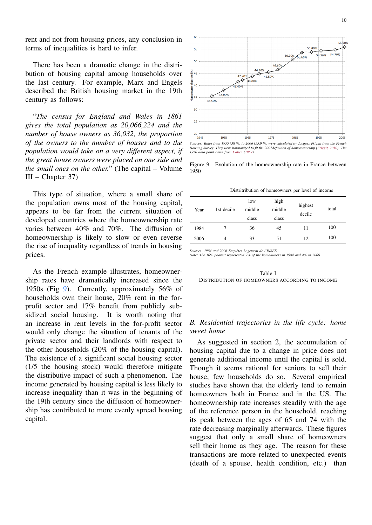rent and not from housing prices, any conclusion in terms of inequalities is hard to infer.

There has been a dramatic change in the distribution of housing capital among households over the last century. For example, Marx and Engels described the British housing market in the 19th century as follows:

"*The census for England and Wales in 1861 gives the total population as 20,066,224 and the number of house owners as 36,032, the proportion of the owners to the number of houses and to the population would take on a very different aspect, if the great house owners were placed on one side and the small ones on the other.*" (The capital – Volume III – Chapter 37)

This type of situation, where a small share of the population owns most of the housing capital, appears to be far from the current situation of developed countries where the homeownership rate varies between 40% and 70%. The diffusion of homeownership is likely to slow or even reverse the rise of inequality regardless of trends in housing prices.

As the French example illustrates, homeownership rates have dramatically increased since the 1950s (Fig 9). Currently, approximately 56% of households own their house, 20% rent in the forprofit sector and 17% benefit from publicly subsidized social housing. It is worth noting that an increase in rent levels in the for-profit sector would only change the situation of tenants of the private sector and their landlords with respect to the other households (20% of the housing capital). The existence of a significant social housing sector (1/5 the housing stock) would therefore mitigate the distributive impact of such a phenomenon. The income generated by housing capital is less likely to increase inequality than it was in the beginning of the 19th century since the diffusion of homeownership has contributed to more evenly spread housing capital.



*Housing Survey. They were harmonized to fit the 2002definition of homeownership (Friggit, 2010). The 1950 data point came from Cahen (1957).*

Figure 9. Evolution of the homeownership rate in France between 1950

Distritribution of homeowners per level of income

| Year | 1st decile | low<br>middle<br>class | high<br>middle<br>class | highest<br>decile | total |
|------|------------|------------------------|-------------------------|-------------------|-------|
| 1984 | 7          | 36                     | 45                      | 11                | 100   |
| 2006 | 4          | 33                     | 51                      | 12                | 100   |

*Sources: 1984 and 2006 Enquêtes Logement de l'INSEE*

*Note: The 10% poorest represented 7% of the homeowners in 1984 and 4% in 2006.*

Table I DISTRIBUTION OF HOMEOWNERS ACCORDING TO INCOME

#### *B. Residential trajectories in the life cycle: home sweet home*

As suggested in section 2, the accumulation of housing capital due to a change in price does not generate additional income until the capital is sold. Though it seems rational for seniors to sell their house, few households do so. Several empirical studies have shown that the elderly tend to remain homeowners both in France and in the US. The homeownership rate increases steadily with the age of the reference person in the household, reaching its peak between the ages of 65 and 74 with the rate decreasing marginally afterwards. These figures suggest that only a small share of homeowners sell their home as they age. The reason for these transactions are more related to unexpected events (death of a spouse, health condition, etc.) than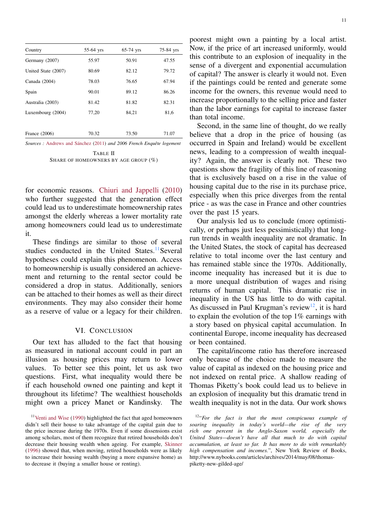| Country             | 55-64 yrs | $65-74$ yrs | 75-84 yrs |
|---------------------|-----------|-------------|-----------|
| Germany (2007)      | 55.97     | 50.91       | 47.55     |
| United State (2007) | 80.69     | 82.12       | 79.72     |
| Canada (2004)       | 78.03     | 76.65       | 67.94     |
| Spain               | 90.01     | 89.12       | 86.26     |
| Australia (2003)    | 81.42     | 81.82       | 82.31     |
| Luxembourg (2004)   | 77,20     | 84.21       | 81,6      |
|                     |           |             |           |
| France $(2006)$     | 70.32     | 73.50       | 71.07     |

*Sources :* Andrews and Sánchez (2011) *and 2006 French Enquête logement*

TABLE II SHARE OF HOMEOWNERS BY AGE GROUP  $(\%)$ 

for economic reasons. Chiuri and Jappelli (2010) who further suggested that the generation effect could lead us to underestimate homeownership rates amongst the elderly whereas a lower mortality rate among homeowners could lead us to underestimate it.

These findings are similar to those of several studies conducted in the United States.<sup>11</sup>Several hypotheses could explain this phenomenon. Access to homeownership is usually considered an achievement and returning to the rental sector could be considered a drop in status. Additionally, seniors can be attached to their homes as well as their direct environments. They may also consider their home as a reserve of value or a legacy for their children.

#### VI. CONCLUSION

Our text has alluded to the fact that housing as measured in national account could in part an illusion as housing prices may return to lower values. To better see this point, let us ask two questions. First, what inequality would there be if each household owned one painting and kept it throughout its lifetime? The wealthiest households might own a pricey Manet or Kandinsky. The

poorest might own a painting by a local artist. Now, if the price of art increased uniformly, would this contribute to an explosion of inequality in the sense of a divergent and exponential accumulation of capital? The answer is clearly it would not. Even if the paintings could be rented and generate some income for the owners, this revenue would need to increase proportionally to the selling price and faster than the labor earnings for capital to increase faster than total income.

Second, in the same line of thought, do we really believe that a drop in the price of housing (as occurred in Spain and Ireland) would be excellent news, leading to a compression of wealth inequality? Again, the answer is clearly not. These two questions show the fragility of this line of reasoning that is exclusively based on a rise in the value of housing capital due to the rise in its purchase price, especially when this price diverges from the rental price - as was the case in France and other countries over the past 15 years.

Our analysis led us to conclude (more optimistically, or perhaps just less pessimistically) that longrun trends in wealth inequality are not dramatic. In the United States, the stock of capital has decreased relative to total income over the last century and has remained stable since the 1970s. Additionally, income inequality has increased but it is due to a more unequal distribution of wages and rising returns of human capital. This dramatic rise in inequality in the US has little to do with capital. As discussed in Paul Krugman's review<sup>12</sup>, it is hard to explain the evolution of the top 1% earnings with a story based on physical capital accumulation. In continental Europe, income inequality has decreased or been contained.

The capital/income ratio has therefore increased only because of the choice made to measure the value of capital as indexed on the housing price and not indexed on rental price. A shallow reading of Thomas Piketty's book could lead us to believe in an explosion of inequality but this dramatic trend in wealth inequality is not in the data. Our work shows

<sup>&</sup>lt;sup>11</sup>Venti and Wise (1990) highlighted the fact that aged homeowners didn't sell their house to take advantage of the capital gain due to the price increase during the 1970s. Even if some dissensions exist among scholars, most of them recognize that retired households don't decrease their housing wealth when ageing. For example, Skinner (1996) showed that, when moving, retired households were as likely to increase their housing wealth (buying a more expansive home) as to decrease it (buying a smaller house or renting).

<sup>12</sup> "*For the fact is that the most conspicuous example of soaring inequality in today's world—the rise of the very rich one percent in the Anglo-Saxon world, especially the United States—doesn't have all that much to do with capital accumulation, at least so far. It has more to do with remarkably high compensation and incomes.*", New York Review of Books, http://www.nybooks.com/articles/archives/2014/may/08/thomaspiketty-new-gilded-age/